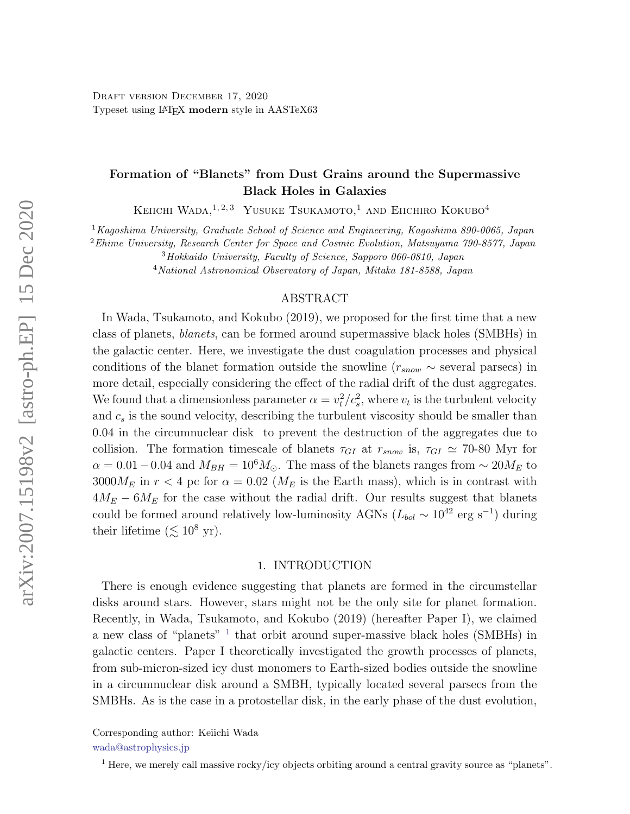# Formation of "Blanets" from Dust Grains around the Supermassive Black Holes in Galaxies

KEIICHI WADA,<sup>1,2,3</sup> YUSUKE TSUKAMOTO,<sup>1</sup> AND EIICHIRO KOKUBO<sup>4</sup>

 $1$ Kagoshima University, Graduate School of Science and Engineering, Kagoshima 890-0065, Japan

 $2$ Ehime University, Research Center for Space and Cosmic Evolution, Matsuyama 790-8577, Japan

<sup>3</sup>Hokkaido University, Faculty of Science, Sapporo 060-0810, Japan

<sup>4</sup>National Astronomical Observatory of Japan, Mitaka 181-8588, Japan

### ABSTRACT

In Wada, Tsukamoto, and Kokubo (2019), we proposed for the first time that a new class of planets, blanets, can be formed around supermassive black holes (SMBHs) in the galactic center. Here, we investigate the dust coagulation processes and physical conditions of the blanet formation outside the snowline  $(r_{snow} \sim$  several parsecs) in more detail, especially considering the effect of the radial drift of the dust aggregates. We found that a dimensionless parameter  $\alpha = v_t^2/c_s^2$ , where  $v_t$  is the turbulent velocity and  $c_s$  is the sound velocity, describing the turbulent viscosity should be smaller than 0.04 in the circumnuclear disk to prevent the destruction of the aggregates due to collision. The formation timescale of blanets  $\tau_{GI}$  at  $r_{snow}$  is,  $\tau_{GI} \simeq 70{\text -}80$  Myr for  $\alpha = 0.01 - 0.04$  and  $M_{BH} = 10^6 M_{\odot}$ . The mass of the blanets ranges from  $\sim 20 M_E$  to  $3000M_E$  in  $r < 4$  pc for  $\alpha = 0.02$  ( $M_E$  is the Earth mass), which is in contrast with  $4M_E - 6M_E$  for the case without the radial drift. Our results suggest that blanets could be formed around relatively low-luminosity AGNs ( $L_{bol} \sim 10^{42}$  erg s<sup>-1</sup>) during their lifetime  $(\lesssim 10^8 \text{ yr})$ .

## 1. INTRODUCTION

There is enough evidence suggesting that planets are formed in the circumstellar disks around stars. However, stars might not be the only site for planet formation. Recently, in Wada, Tsukamoto, and Kokubo (2019) (hereafter Paper I), we claimed a new class of "planets" <sup>[1](#page-0-2)</sup> that orbit around super-massive black holes (SMBHs) in galactic centers. Paper I theoretically investigated the growth processes of planets, from sub-micron-sized icy dust monomers to Earth-sized bodies outside the snowline in a circumnuclear disk around a SMBH, typically located several parsecs from the SMBHs. As is the case in a protostellar disk, in the early phase of the dust evolution,

<span id="page-0-0"></span>Corresponding author: Keiichi Wada

<span id="page-0-1"></span>[wada@astrophysics.jp](mailto: wada@astrophysics.jp)

<span id="page-0-2"></span><sup>&</sup>lt;sup>1</sup> Here, we merely call massive rocky/icy objects orbiting around a central gravity source as "planets".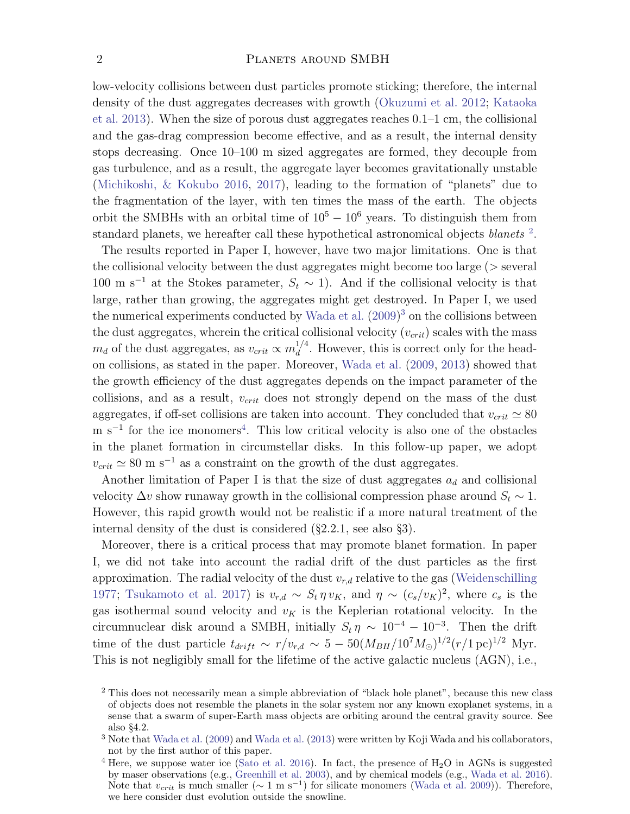low-velocity collisions between dust particles promote sticking; therefore, the internal density of the dust aggregates decreases with growth [\(Okuzumi et al.](#page-17-0) [2012;](#page-17-0) [Kataoka](#page-17-1) [et al.](#page-17-1) [2013\)](#page-17-1). When the size of porous dust aggregates reaches 0.1–1 cm, the collisional and the gas-drag compression become effective, and as a result, the internal density stops decreasing. Once 10–100 m sized aggregates are formed, they decouple from gas turbulence, and as a result, the aggregate layer becomes gravitationally unstable [\(Michikoshi, & Kokubo](#page-17-2) [2016,](#page-17-2) [2017\)](#page-17-3), leading to the formation of "planets" due to the fragmentation of the layer, with ten times the mass of the earth. The objects orbit the SMBHs with an orbital time of  $10^5 - 10^6$  years. To distinguish them from standard planets, we hereafter call these hypothetical astronomical objects *blanets*  $2$ .

The results reported in Paper I, however, have two major limitations. One is that the collisional velocity between the dust aggregates might become too large ( $>$  several 100 m s<sup>-1</sup> at the Stokes parameter,  $S_t \sim 1$ ). And if the collisional velocity is that large, rather than growing, the aggregates might get destroyed. In Paper I, we used the numerical experiments conducted by [Wada et al.](#page-17-4)  $(2009)^3$  $(2009)^3$  $(2009)^3$  on the collisions between the dust aggregates, wherein the critical collisional velocity  $(v_{crit})$  scales with the mass  $m_d$  of the dust aggregates, as  $v_{crit} \propto m_d^{1/4}$  $\frac{d}{d}$ . However, this is correct only for the headon collisions, as stated in the paper. Moreover, [Wada et al.](#page-17-4) [\(2009,](#page-17-4) [2013\)](#page-17-5) showed that the growth efficiency of the dust aggregates depends on the impact parameter of the collisions, and as a result,  $v_{crit}$  does not strongly depend on the mass of the dust aggregates, if off-set collisions are taken into account. They concluded that  $v_{crit} \simeq 80$ m s<sup>-1</sup> for the ice monomers<sup>[4](#page-1-2)</sup>. This low critical velocity is also one of the obstacles in the planet formation in circumstellar disks. In this follow-up paper, we adopt  $v_{crit} \approx 80 \text{ m s}^{-1}$  as a constraint on the growth of the dust aggregates.

Another limitation of Paper I is that the size of dust aggregates  $a_d$  and collisional velocity  $\Delta v$  show runaway growth in the collisional compression phase around  $S_t \sim 1$ . However, this rapid growth would not be realistic if a more natural treatment of the internal density of the dust is considered (§2.2.1, see also §3).

Moreover, there is a critical process that may promote blanet formation. In paper I, we did not take into account the radial drift of the dust particles as the first approximation. The radial velocity of the dust  $v_{r,d}$  relative to the gas [\(Weidenschilling](#page-17-6) [1977;](#page-17-6) [Tsukamoto et al.](#page-17-7) [2017\)](#page-17-7) is  $v_{r,d} \sim S_t \eta v_K$ , and  $\eta \sim (c_s/v_K)^2$ , where  $c_s$  is the gas isothermal sound velocity and  $v_K$  is the Keplerian rotational velocity. In the circumnuclear disk around a SMBH, initially  $S_t \eta \sim 10^{-4} - 10^{-3}$ . Then the drift time of the dust particle  $t_{drift} \sim r/v_{r,d} \sim 5-50(M_{BH}/10^7M_{\odot})^{1/2}(r/1pc)^{1/2}$  Myr. This is not negligibly small for the lifetime of the active galactic nucleus (AGN), i.e.,

<span id="page-1-0"></span><sup>&</sup>lt;sup>2</sup> This does not necessarily mean a simple abbreviation of "black hole planet", because this new class of objects does not resemble the planets in the solar system nor any known exoplanet systems, in a sense that a swarm of super-Earth mass objects are orbiting around the central gravity source. See also §4.2.

<span id="page-1-1"></span><sup>3</sup> Note that [Wada et al.](#page-17-4) [\(2009\)](#page-17-4) and [Wada et al.](#page-17-5) [\(2013\)](#page-17-5) were written by Koji Wada and his collaborators, not by the first author of this paper.

<span id="page-1-2"></span><sup>&</sup>lt;sup>4</sup> Here, we suppose water ice [\(Sato et al.](#page-17-8) [2016\)](#page-17-8). In fact, the presence of  $H_2O$  in AGNs is suggested by maser observations (e.g., [Greenhill et al.](#page-17-9) [2003\)](#page-17-9), and by chemical models (e.g., [Wada et al.](#page-17-10) [2016\)](#page-17-10). Note that  $v_{crit}$  is much smaller ( $\sim 1 \text{ m s}^{-1}$ ) for silicate monomers [\(Wada et al.](#page-17-4) [2009\)](#page-17-4)). Therefore, we here consider dust evolution outside the snowline.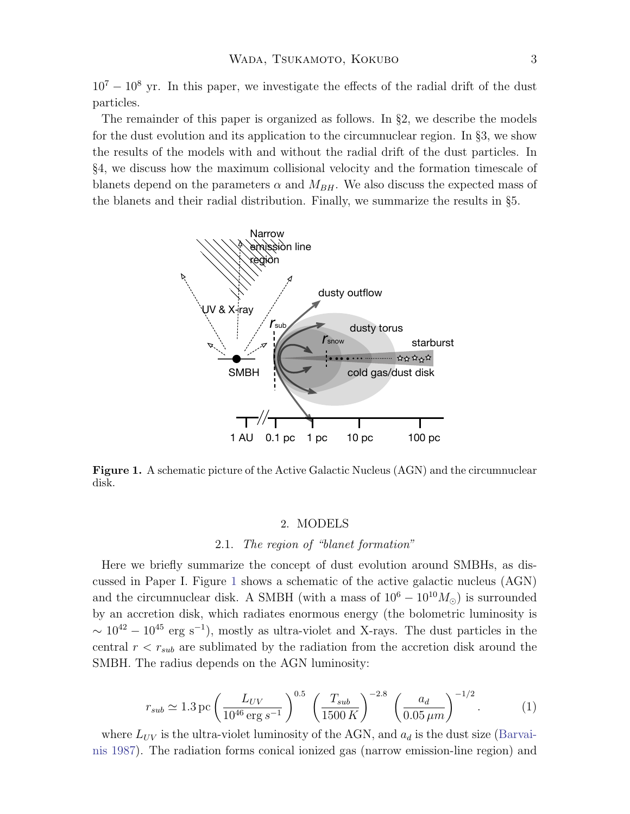$10^7 - 10^8$  yr. In this paper, we investigate the effects of the radial drift of the dust particles.

The remainder of this paper is organized as follows. In §2, we describe the models for the dust evolution and its application to the circumnuclear region. In §3, we show the results of the models with and without the radial drift of the dust particles. In §4, we discuss how the maximum collisional velocity and the formation timescale of blanets depend on the parameters  $\alpha$  and  $M_{BH}$ . We also discuss the expected mass of the blanets and their radial distribution. Finally, we summarize the results in §5.



<span id="page-2-0"></span>Figure 1. A schematic picture of the Active Galactic Nucleus (AGN) and the circumnuclear disk.

### 2. MODELS

## 2.1. The region of "blanet formation"

Here we briefly summarize the concept of dust evolution around SMBHs, as discussed in Paper I. Figure [1](#page-2-0) shows a schematic of the active galactic nucleus (AGN) and the circumnuclear disk. A SMBH (with a mass of  $10^6 - 10^{10} M_{\odot}$ ) is surrounded by an accretion disk, which radiates enormous energy (the bolometric luminosity is  $\sim 10^{42} - 10^{45}$  erg s<sup>-1</sup>), mostly as ultra-violet and X-rays. The dust particles in the central  $r < r_{sub}$  are sublimated by the radiation from the accretion disk around the SMBH. The radius depends on the AGN luminosity:

$$
r_{sub} \simeq 1.3 \,\text{pc} \left(\frac{L_{UV}}{10^{46} \,\text{erg s}^{-1}}\right)^{0.5} \left(\frac{T_{sub}}{1500 \,K}\right)^{-2.8} \left(\frac{a_d}{0.05 \,\mu m}\right)^{-1/2}.\tag{1}
$$

where  $L_{UV}$  is the ultra-violet luminosity of the AGN, and  $a_d$  is the dust size [\(Barvai](#page-17-11)[nis](#page-17-11) [1987\)](#page-17-11). The radiation forms conical ionized gas (narrow emission-line region) and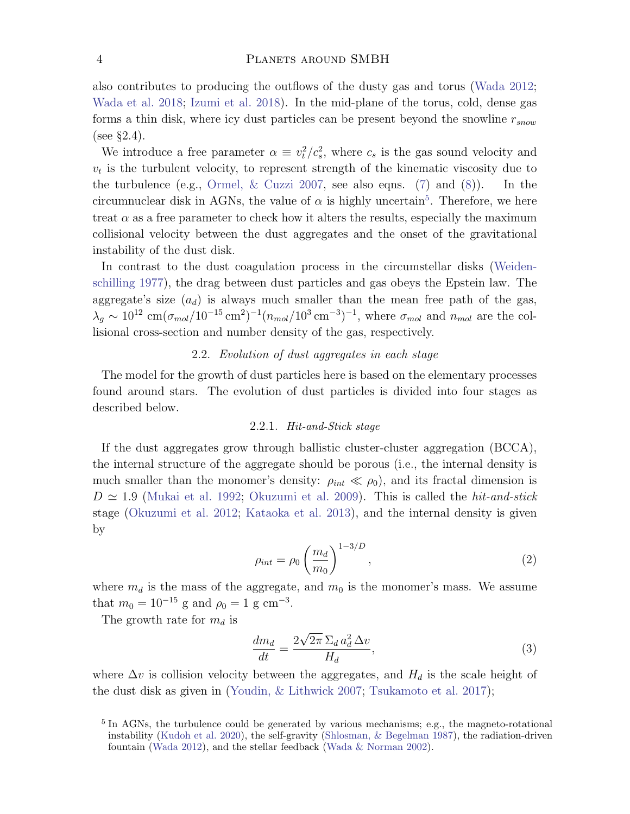also contributes to producing the outflows of the dusty gas and torus [\(Wada](#page-17-12) [2012;](#page-17-12) [Wada et al.](#page-17-13) [2018;](#page-17-13) [Izumi et al.](#page-17-14) [2018\)](#page-17-14). In the mid-plane of the torus, cold, dense gas forms a thin disk, where icy dust particles can be present beyond the snowline  $r_{snow}$ (see §2.4).

We introduce a free parameter  $\alpha \equiv v_t^2/c_s^2$ , where  $c_s$  is the gas sound velocity and  $v_t$  is the turbulent velocity, to represent strength of the kinematic viscosity due to the turbulence (e.g., Ormel,  $& Cuzzi 2007$ , see also eqns. [\(7\)](#page-4-0) and [\(8\)](#page-4-1)). In the circumnuclear disk in AGNs, the value of  $\alpha$  is highly uncertain<sup>[5](#page-3-0)</sup>. Therefore, we here treat  $\alpha$  as a free parameter to check how it alters the results, especially the maximum collisional velocity between the dust aggregates and the onset of the gravitational instability of the dust disk.

In contrast to the dust coagulation process in the circumstellar disks [\(Weiden](#page-17-6)[schilling](#page-17-6) [1977\)](#page-17-6), the drag between dust particles and gas obeys the Epstein law. The aggregate's size  $(a_d)$  is always much smaller than the mean free path of the gas,  $\lambda_g \sim 10^{12} \text{ cm}(\sigma_{mol}/10^{-15} \text{ cm}^2)^{-1}(n_{mol}/10^3 \text{ cm}^{-3})^{-1}$ , where  $\sigma_{mol}$  and  $n_{mol}$  are the collisional cross-section and number density of the gas, respectively.

## 2.2. Evolution of dust aggregates in each stage

The model for the growth of dust particles here is based on the elementary processes found around stars. The evolution of dust particles is divided into four stages as described below.

## 2.2.1. Hit-and-Stick stage

If the dust aggregates grow through ballistic cluster-cluster aggregation (BCCA), the internal structure of the aggregate should be porous (i.e., the internal density is much smaller than the monomer's density:  $\rho_{int} \ll \rho_0$ , and its fractal dimension is  $D \simeq 1.9$  [\(Mukai et al.](#page-17-16) [1992;](#page-17-16) [Okuzumi et al.](#page-17-17) [2009\)](#page-17-17). This is called the *hit-and-stick* stage [\(Okuzumi et al.](#page-17-0) [2012;](#page-17-0) [Kataoka et al.](#page-17-1) [2013\)](#page-17-1), and the internal density is given by

$$
\rho_{int} = \rho_0 \left(\frac{m_d}{m_0}\right)^{1-3/D},\tag{2}
$$

where  $m_d$  is the mass of the aggregate, and  $m_0$  is the monomer's mass. We assume that  $m_0 = 10^{-15}$  g and  $\rho_0 = 1$  g cm<sup>-3</sup>.

The growth rate for  $m_d$  is

$$
\frac{dm_d}{dt} = \frac{2\sqrt{2\pi}\,\Sigma_d\,a_d^2\,\Delta v}{H_d},\tag{3}
$$

where  $\Delta v$  is collision velocity between the aggregates, and  $H_d$  is the scale height of the dust disk as given in [\(Youdin, & Lithwick](#page-17-18) [2007;](#page-17-18) [Tsukamoto et al.](#page-17-7) [2017\)](#page-17-7);

<span id="page-3-0"></span><sup>&</sup>lt;sup>5</sup> In AGNs, the turbulence could be generated by various mechanisms; e.g., the magneto-rotational instability [\(Kudoh et al.](#page-17-19) [2020\)](#page-17-19), the self-gravity [\(Shlosman, & Begelman](#page-17-20) [1987\)](#page-17-20), the radiation-driven fountain [\(Wada](#page-17-12) [2012\)](#page-17-12), and the stellar feedback [\(Wada & Norman](#page-17-21) [2002\)](#page-17-21).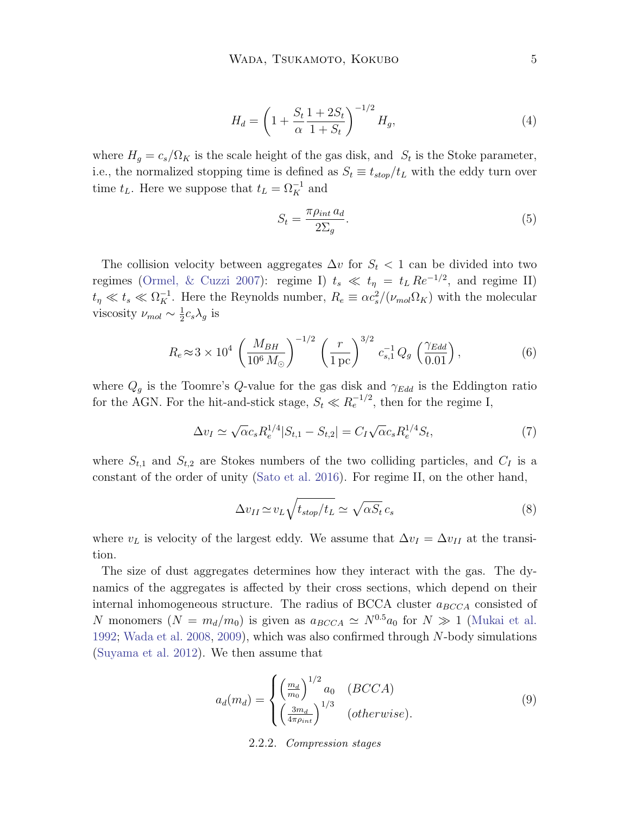$$
H_d = \left(1 + \frac{S_t}{\alpha} \frac{1 + 2S_t}{1 + S_t}\right)^{-1/2} H_g,
$$
\n(4)

where  $H_g = c_s/\Omega_K$  is the scale height of the gas disk, and  $S_t$  is the Stoke parameter, i.e., the normalized stopping time is defined as  $S_t \equiv t_{stop}/t_L$  with the eddy turn over time  $t_L$ . Here we suppose that  $t_L = \Omega_K^{-1}$  and

$$
S_t = \frac{\pi \rho_{int} a_d}{2\Sigma_g}.
$$
\n<sup>(5)</sup>

The collision velocity between aggregates  $\Delta v$  for  $S_t < 1$  can be divided into two regimes [\(Ormel, & Cuzzi](#page-17-15) [2007\)](#page-17-15): regime I)  $t_s \ll t_\eta = t_L Re^{-1/2}$ , and regime II)  $t_{\eta} \ll t_s \ll \Omega_K^{-1}$ . Here the Reynolds number,  $R_e \equiv \alpha c_s^2/(\nu_{mol}\Omega_K)$  with the molecular viscosity  $\nu_{mol} \sim \frac{1}{2}$  $\frac{1}{2}c_s\lambda_g$  is

$$
R_e \approx 3 \times 10^4 \left(\frac{M_{BH}}{10^6 \, M_{\odot}}\right)^{-1/2} \left(\frac{r}{1 \, \text{pc}}\right)^{3/2} c_{s,1}^{-1} Q_g \left(\frac{\gamma_{Edd}}{0.01}\right),\tag{6}
$$

where  $Q_g$  is the Toomre's Q-value for the gas disk and  $\gamma_{Edd}$  is the Eddington ratio for the AGN. For the hit-and-stick stage,  $S_t \ll R_e^{-1/2}$ , then for the regime I,

<span id="page-4-0"></span>
$$
\Delta v_I \simeq \sqrt{\alpha} c_s R_e^{1/4} |S_{t,1} - S_{t,2}| = C_I \sqrt{\alpha} c_s R_e^{1/4} S_t,
$$
\n(7)

where  $S_{t,1}$  and  $S_{t,2}$  are Stokes numbers of the two colliding particles, and  $C_I$  is a constant of the order of unity [\(Sato et al.](#page-17-8) [2016\)](#page-17-8). For regime II, on the other hand,

<span id="page-4-1"></span>
$$
\Delta v_{II} \simeq v_L \sqrt{t_{stop}/t_L} \simeq \sqrt{\alpha S_t} c_s \tag{8}
$$

where  $v_L$  is velocity of the largest eddy. We assume that  $\Delta v_I = \Delta v_{II}$  at the transition.

<span id="page-4-2"></span>The size of dust aggregates determines how they interact with the gas. The dynamics of the aggregates is affected by their cross sections, which depend on their internal inhomogeneous structure. The radius of BCCA cluster  $a_{BCCA}$  consisted of N monomers  $(N = m_d/m_0)$  is given as  $a_{BCCA} \simeq N^{0.5}a_0$  for  $N \gg 1$  [\(Mukai et al.](#page-17-16) [1992;](#page-17-16) [Wada et al.](#page-17-22) [2008,](#page-17-22) [2009\)](#page-17-4), which was also confirmed through N-body simulations [\(Suyama et al.](#page-17-23) [2012\)](#page-17-23). We then assume that

$$
a_d(m_d) = \begin{cases} \left(\frac{m_d}{m_0}\right)^{1/2} a_0 & (BCCA) \\ \left(\frac{3m_d}{4\pi\rho_{int}}\right)^{1/3} & (otherwise). \end{cases}
$$
 (9)

#### 2.2.2. Compression stages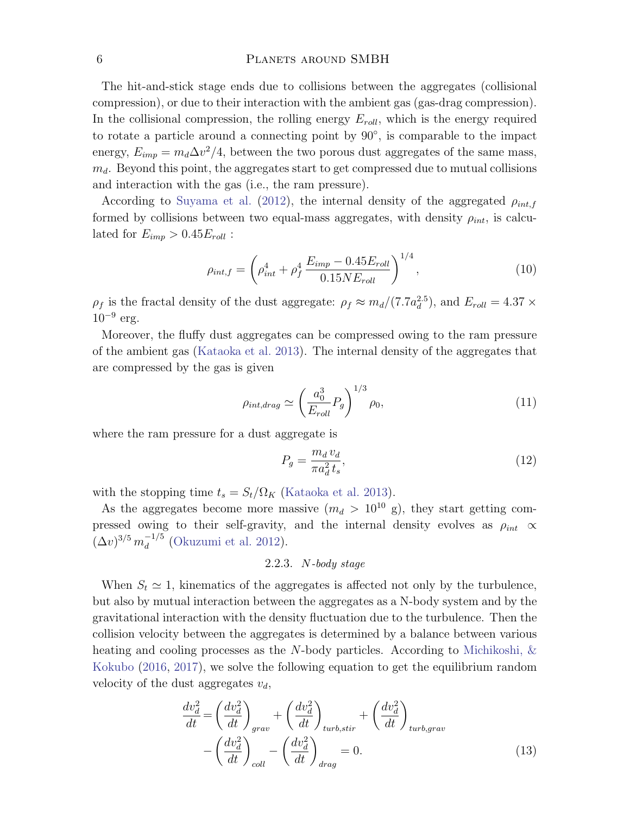The hit-and-stick stage ends due to collisions between the aggregates (collisional compression), or due to their interaction with the ambient gas (gas-drag compression). In the collisional compression, the rolling energy  $E_{roll}$ , which is the energy required to rotate a particle around a connecting point by 90<sup>°</sup>, is comparable to the impact energy,  $E_{imp} = m_d \Delta v^2/4$ , between the two porous dust aggregates of the same mass,  $m_d$ . Beyond this point, the aggregates start to get compressed due to mutual collisions and interaction with the gas (i.e., the ram pressure).

According to [Suyama et al.](#page-17-23) [\(2012\)](#page-17-23), the internal density of the aggregated  $\rho_{int,f}$ formed by collisions between two equal-mass aggregates, with density  $\rho_{int}$ , is calculated for  $E_{imp} > 0.45 E_{roll}$ :

$$
\rho_{int,f} = \left(\rho_{int}^4 + \rho_f^4 \frac{E_{imp} - 0.45 E_{roll}}{0.15 N E_{roll}}\right)^{1/4},\tag{10}
$$

 $\rho_f$  is the fractal density of the dust aggregate:  $\rho_f \approx m_d/(7.7a_d^{2.5})$ , and  $E_{roll} = 4.37 \times$  $10^{-9}$  erg.

Moreover, the fluffy dust aggregates can be compressed owing to the ram pressure of the ambient gas [\(Kataoka et al.](#page-17-1) [2013\)](#page-17-1). The internal density of the aggregates that are compressed by the gas is given

$$
\rho_{int,drag} \simeq \left(\frac{a_0^3}{E_{roll}} P_g\right)^{1/3} \rho_0,\tag{11}
$$

where the ram pressure for a dust aggregate is

$$
P_g = \frac{m_d v_d}{\pi a_d^2 t_s},\tag{12}
$$

with the stopping time  $t_s = S_t/\Omega_K$  [\(Kataoka et al.](#page-17-1) [2013\)](#page-17-1).

As the aggregates become more massive  $(m_d > 10^{10} \text{ g})$ , they start getting compressed owing to their self-gravity, and the internal density evolves as  $\rho_{int} \propto$  $(\Delta v)^{3/5} m_d^{-1/5}$  $\frac{1}{d}$ <sup>-1/3</sup> [\(Okuzumi et al.](#page-17-0) [2012\)](#page-17-0).

## 2.2.3.  $N$ -body stage

When  $S_t \simeq 1$ , kinematics of the aggregates is affected not only by the turbulence, but also by mutual interaction between the aggregates as a N-body system and by the gravitational interaction with the density fluctuation due to the turbulence. Then the collision velocity between the aggregates is determined by a balance between various heating and cooling processes as the N-body particles. According to [Michikoshi, &](#page-17-2) [Kokubo](#page-17-2) [\(2016,](#page-17-2) [2017\)](#page-17-3), we solve the following equation to get the equilibrium random velocity of the dust aggregates  $v_d$ ,

<span id="page-5-0"></span>
$$
\frac{dv_d^2}{dt} = \left(\frac{dv_d^2}{dt}\right)_{grav} + \left(\frac{dv_d^2}{dt}\right)_{turb, stir} + \left(\frac{dv_d^2}{dt}\right)_{turb, grav} - \left(\frac{dv_d^2}{dt}\right)_{coll} - \left(\frac{dv_d^2}{dt}\right)_{drag} = 0.
$$
\n(13)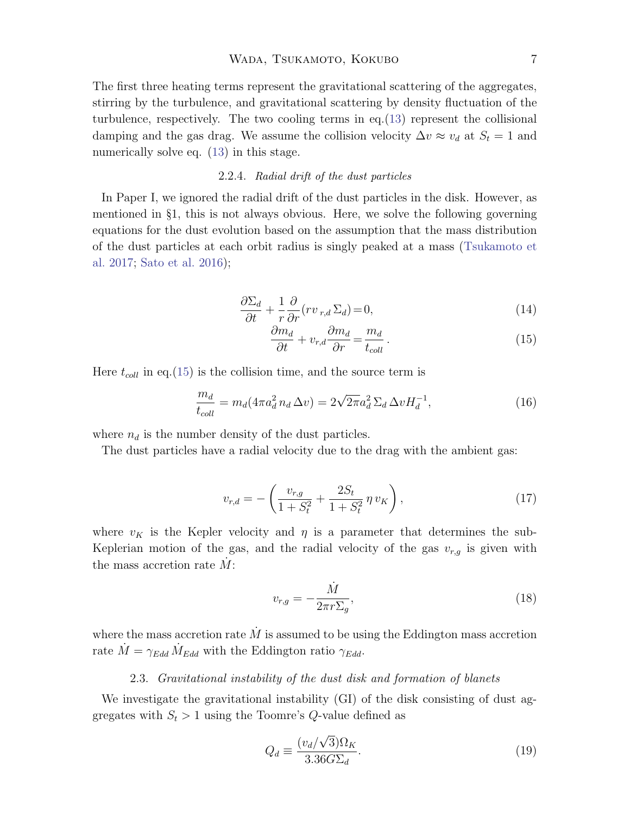The first three heating terms represent the gravitational scattering of the aggregates, stirring by the turbulence, and gravitational scattering by density fluctuation of the turbulence, respectively. The two cooling terms in eq.[\(13\)](#page-5-0) represent the collisional damping and the gas drag. We assume the collision velocity  $\Delta v \approx v_d$  at  $S_t = 1$  and numerically solve eq.  $(13)$  in this stage.

## 2.2.4. Radial drift of the dust particles

In Paper I, we ignored the radial drift of the dust particles in the disk. However, as mentioned in §1, this is not always obvious. Here, we solve the following governing equations for the dust evolution based on the assumption that the mass distribution of the dust particles at each orbit radius is singly peaked at a mass [\(Tsukamoto et](#page-17-7) [al.](#page-17-7) [2017;](#page-17-7) [Sato et al.](#page-17-8) [2016\)](#page-17-8);

<span id="page-6-0"></span>
$$
\frac{\partial \Sigma_d}{\partial t} + \frac{1}{r} \frac{\partial}{\partial r} (rv_{r,d} \Sigma_d) = 0,
$$
\n(14)

$$
\frac{\partial m_d}{\partial t} + v_{r,d} \frac{\partial m_d}{\partial r} = \frac{m_d}{t_{coll}}.
$$
\n(15)

Here  $t_{coll}$  in eq.[\(15\)](#page-6-0) is the collision time, and the source term is

$$
\frac{m_d}{t_{coll}} = m_d (4\pi a_d^2 n_d \Delta v) = 2\sqrt{2\pi} a_d^2 \Sigma_d \Delta v H_d^{-1},
$$
\n(16)

where  $n_d$  is the number density of the dust particles.

The dust particles have a radial velocity due to the drag with the ambient gas:

$$
v_{r,d} = -\left(\frac{v_{r,g}}{1+S_t^2} + \frac{2S_t}{1+S_t^2} \eta v_K\right),\tag{17}
$$

where  $v_K$  is the Kepler velocity and  $\eta$  is a parameter that determines the sub-Keplerian motion of the gas, and the radial velocity of the gas  $v_{r,g}$  is given with the mass accretion rate  $\dot{M}$ :

$$
v_{r,g} = -\frac{\dot{M}}{2\pi r \Sigma_g},\tag{18}
$$

where the mass accretion rate  $\dot{M}$  is assumed to be using the Eddington mass accretion rate  $\dot{M} = \gamma_{Edd} \dot{M}_{Edd}$  with the Eddington ratio  $\gamma_{Edd}$ .

# 2.3. Gravitational instability of the dust disk and formation of blanets

We investigate the gravitational instability (GI) of the disk consisting of dust aggregates with  $S_t > 1$  using the Toomre's Q-value defined as

$$
Q_d \equiv \frac{(v_d/\sqrt{3})\Omega_K}{3.36 G \Sigma_d}.
$$
\n(19)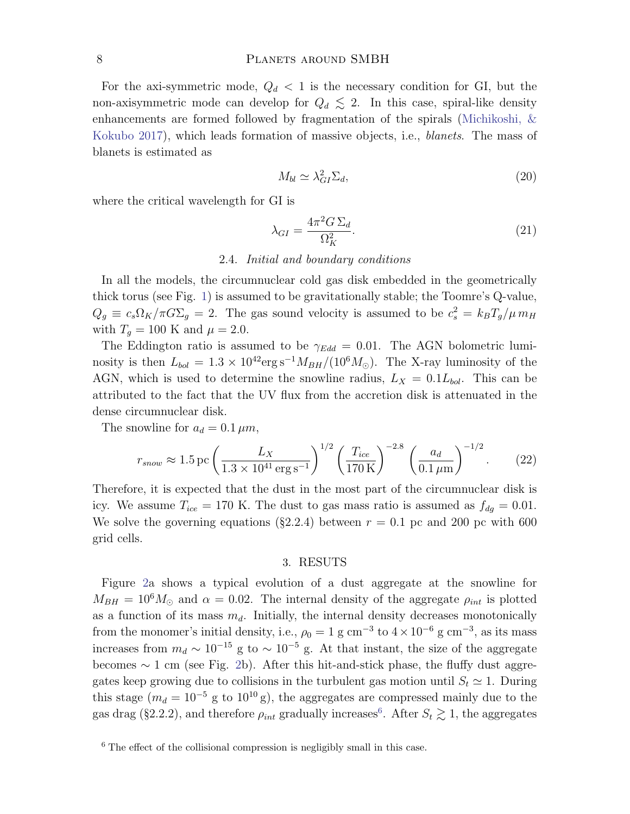For the axi-symmetric mode,  $Q_d < 1$  is the necessary condition for GI, but the non-axisymmetric mode can develop for  $Q_d \lesssim 2$ . In this case, spiral-like density enhancements are formed followed by fragmentation of the spirals [\(Michikoshi, &](#page-17-3) [Kokubo](#page-17-3) [2017\)](#page-17-3), which leads formation of massive objects, i.e., *blanets*. The mass of blanets is estimated as

$$
M_{bl} \simeq \lambda_{GI}^2 \Sigma_d,\tag{20}
$$

where the critical wavelength for GI is

<span id="page-7-1"></span>
$$
\lambda_{GI} = \frac{4\pi^2 G \,\Sigma_d}{\Omega_K^2}.\tag{21}
$$

### 2.4. Initial and boundary conditions

In all the models, the circumnuclear cold gas disk embedded in the geometrically thick torus (see Fig. [1\)](#page-2-0) is assumed to be gravitationally stable; the Toomre's Q-value,  $Q_g \equiv c_s \Omega_K / \pi G \Sigma_g = 2$ . The gas sound velocity is assumed to be  $c_s^2 = k_B T_g / \mu m_H$ with  $T_q = 100$  K and  $\mu = 2.0$ .

The Eddington ratio is assumed to be  $\gamma_{Edd} = 0.01$ . The AGN bolometric luminosity is then  $L_{bol} = 1.3 \times 10^{42} \text{erg s}^{-1} M_{BH}/(10^6 M_{\odot})$ . The X-ray luminosity of the AGN, which is used to determine the snowline radius,  $L_X = 0.1L_{bol}$ . This can be attributed to the fact that the UV flux from the accretion disk is attenuated in the dense circumnuclear disk.

The snowline for  $a_d = 0.1 \,\mu m$ ,

$$
r_{snow} \approx 1.5 \,\text{pc} \left(\frac{L_X}{1.3 \times 10^{41} \,\text{erg s}^{-1}}\right)^{1/2} \left(\frac{T_{ice}}{170 \,\text{K}}\right)^{-2.8} \left(\frac{a_d}{0.1 \,\mu\text{m}}\right)^{-1/2}.\tag{22}
$$

Therefore, it is expected that the dust in the most part of the circumnuclear disk is icy. We assume  $T_{ice} = 170$  K. The dust to gas mass ratio is assumed as  $f_{dg} = 0.01$ . We solve the governing equations (§2.2.4) between  $r = 0.1$  pc and 200 pc with 600 grid cells.

## 3. RESUTS

Figure [2a](#page-8-0) shows a typical evolution of a dust aggregate at the snowline for  $M_{BH} = 10^6 M_{\odot}$  and  $\alpha = 0.02$ . The internal density of the aggregate  $\rho_{int}$  is plotted as a function of its mass  $m_d$ . Initially, the internal density decreases monotonically from the monomer's initial density, i.e.,  $\rho_0 = 1$  g cm<sup>-3</sup> to  $4 \times 10^{-6}$  g cm<sup>-3</sup>, as its mass increases from  $m_d \sim 10^{-15}$  g to  $\sim 10^{-5}$  g. At that instant, the size of the aggregate becomes  $\sim 1$  cm (see Fig. [2b](#page-8-0)). After this hit-and-stick phase, the fluffy dust aggregates keep growing due to collisions in the turbulent gas motion until  $S_t \simeq 1$ . During this stage ( $m_d = 10^{-5}$  g to  $10^{10}$  g), the aggregates are compressed mainly due to the gas drag (§2.2.2), and therefore  $\rho_{int}$  gradually increases<sup>[6](#page-7-0)</sup>. After  $S_t \gtrsim 1$ , the aggregates

<span id="page-7-0"></span><sup>6</sup> The effect of the collisional compression is negligibly small in this case.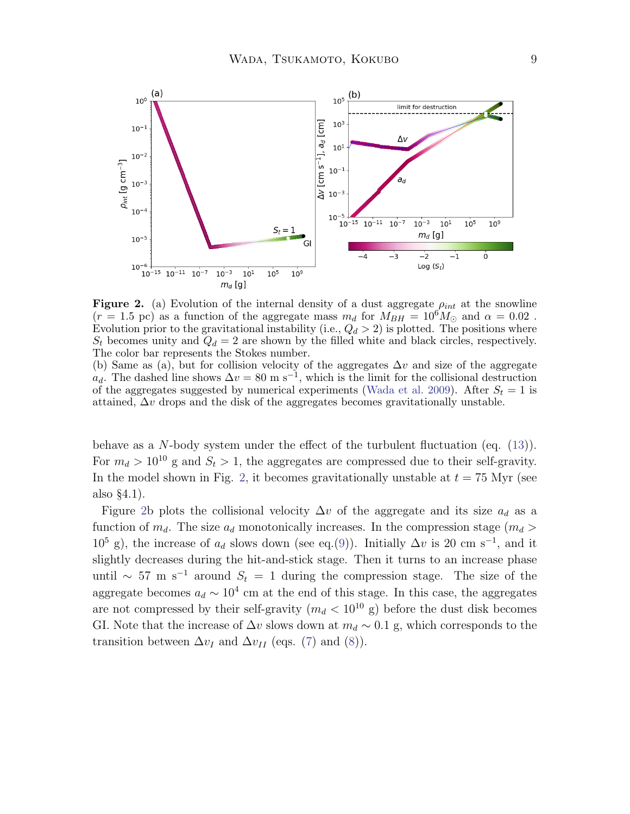

<span id="page-8-0"></span>Figure 2. (a) Evolution of the internal density of a dust aggregate  $\rho_{int}$  at the snowline  $(r = 1.5 \text{ pc})$  as a function of the aggregate mass  $m_d$  for  $M_{BH} = 10^6 M_{\odot}$  and  $\alpha = 0.02$ . Evolution prior to the gravitational instability (i.e.,  $Q_d > 2$ ) is plotted. The positions where  $S_t$  becomes unity and  $Q_d = 2$  are shown by the filled white and black circles, respectively. The color bar represents the Stokes number.

(b) Same as (a), but for collision velocity of the aggregates  $\Delta v$  and size of the aggregate  $a_d$ . The dashed line shows  $\Delta v = 80 \text{ m s}^{-1}$ , which is the limit for the collisional destruction of the aggregates suggested by numerical experiments [\(Wada et al.](#page-17-4) [2009\)](#page-17-4). After  $S_t = 1$  is attained,  $\Delta v$  drops and the disk of the aggregates becomes gravitationally unstable.

behave as a N-body system under the effect of the turbulent fluctuation (eq. [\(13\)](#page-5-0)). For  $m_d > 10^{10}$  g and  $S_t > 1$ , the aggregates are compressed due to their self-gravity. In the model shown in Fig. [2,](#page-8-0) it becomes gravitationally unstable at  $t = 75$  Myr (see also §4.1).

Figure [2b](#page-8-0) plots the collisional velocity  $\Delta v$  of the aggregate and its size  $a_d$  as a function of  $m_d$ . The size  $a_d$  monotonically increases. In the compression stage  $(m_d >$  $10^5$  g), the increase of  $a_d$  slows down (see eq.[\(9\)](#page-4-2)). Initially  $\Delta v$  is 20 cm s<sup>-1</sup>, and it slightly decreases during the hit-and-stick stage. Then it turns to an increase phase until ~ 57 m s<sup>-1</sup> around  $S_t = 1$  during the compression stage. The size of the aggregate becomes  $a_d \sim 10^4$  cm at the end of this stage. In this case, the aggregates are not compressed by their self-gravity  $(m_d < 10^{10} \text{ g})$  before the dust disk becomes GI. Note that the increase of  $\Delta v$  slows down at  $m_d \sim 0.1$  g, which corresponds to the transition between  $\Delta v_I$  and  $\Delta v_{II}$  (eqs. [\(7\)](#page-4-0) and [\(8\)](#page-4-1)).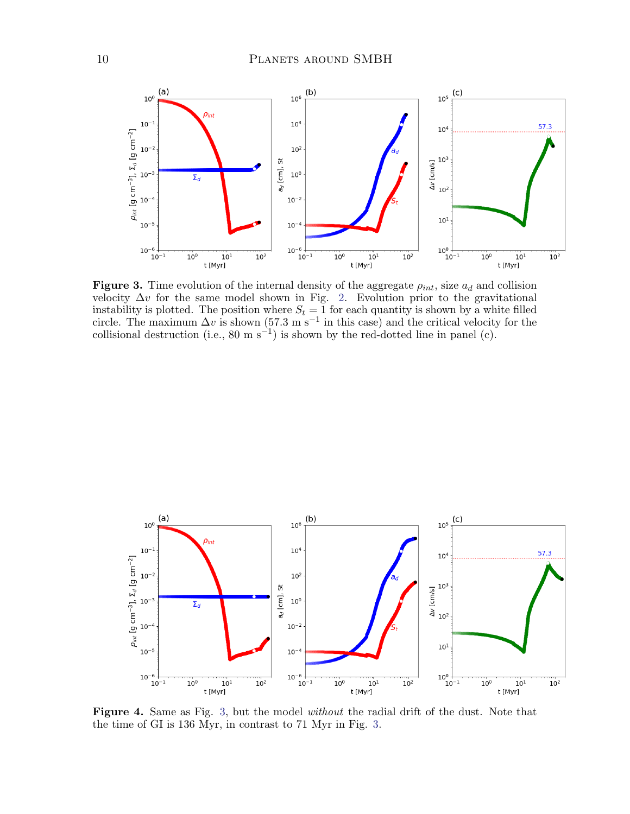

<span id="page-9-0"></span>Figure 3. Time evolution of the internal density of the aggregate  $\rho_{int}$ , size  $a_d$  and collision velocity  $\Delta v$  for the same model shown in Fig. [2.](#page-8-0) Evolution prior to the gravitational instability is plotted. The position where  $S_t = 1$  for each quantity is shown by a white filled circle. The maximum  $\Delta v$  is shown (57.3 m s<sup>-1</sup> in this case) and the critical velocity for the collisional destruction (i.e., 80 m s<sup>-1</sup>) is shown by the red-dotted line in panel (c).



<span id="page-9-1"></span>Figure 4. Same as Fig. [3,](#page-9-0) but the model without the radial drift of the dust. Note that the time of GI is 136 Myr, in contrast to 71 Myr in Fig. [3.](#page-9-0)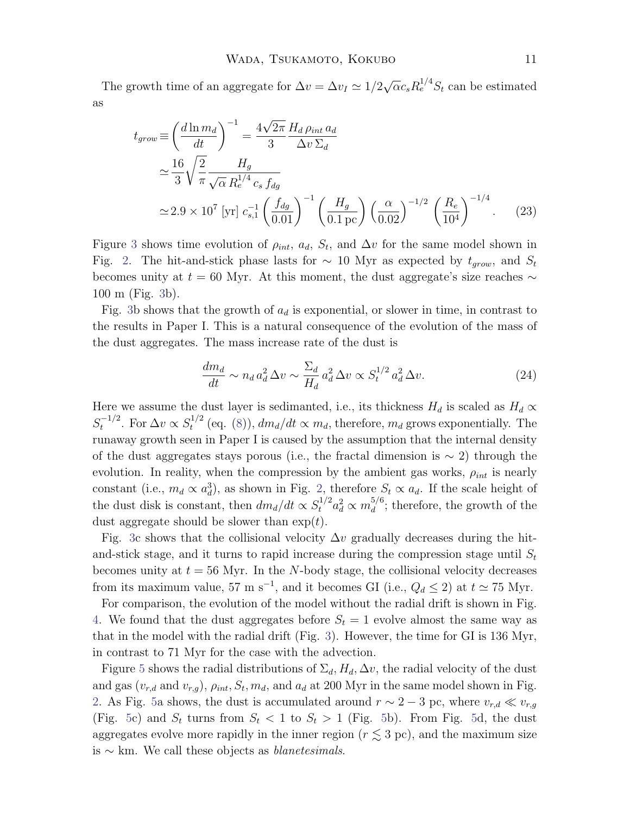The growth time of an aggregate for  $\Delta v = \Delta v_I \simeq 1/2$ √  $\overline{\alpha} c_s R_e^{1/4} S_t$  can be estimated as

$$
t_{grow} \equiv \left(\frac{d \ln m_d}{dt}\right)^{-1} = \frac{4\sqrt{2\pi}}{3} \frac{H_d \rho_{int} a_d}{\Delta v \Sigma_d}
$$
  

$$
\approx \frac{16}{3} \sqrt{\frac{2}{\pi}} \frac{H_g}{\sqrt{\alpha} R_e^{1/4} c_s f_{dg}}
$$
  

$$
\approx 2.9 \times 10^7 \text{ [yr]} c_{s,1}^{-1} \left(\frac{f_{dg}}{0.01}\right)^{-1} \left(\frac{H_g}{0.1 \text{ pc}}\right) \left(\frac{\alpha}{0.02}\right)^{-1/2} \left(\frac{R_e}{10^4}\right)^{-1/4}.
$$
 (23)

Figure [3](#page-9-0) shows time evolution of  $\rho_{int}$ ,  $a_d$ ,  $S_t$ , and  $\Delta v$  for the same model shown in Fig. [2.](#page-8-0) The hit-and-stick phase lasts for  $\sim$  10 Myr as expected by  $t_{grow}$ , and  $S_t$ becomes unity at  $t = 60$  Myr. At this moment, the dust aggregate's size reaches  $\sim$ 100 m (Fig. [3b](#page-9-0)).

Fig. [3b](#page-9-0) shows that the growth of  $a_d$  is exponential, or slower in time, in contrast to the results in Paper I. This is a natural consequence of the evolution of the mass of the dust aggregates. The mass increase rate of the dust is

$$
\frac{dm_d}{dt} \sim n_d a_d^2 \Delta v \sim \frac{\Sigma_d}{H_d} a_d^2 \Delta v \propto S_t^{1/2} a_d^2 \Delta v.
$$
\n(24)

Here we assume the dust layer is sedimanted, i.e., its thickness  $H_d$  is scaled as  $H_d \propto$  $S_t^{-1/2}$  $t_t^{-1/2}$ . For  $\Delta v \propto S_t^{1/2}$  $t^{1/2}$  (eq. [\(8\)](#page-4-1)),  $dm_d/dt \propto m_d$ , therefore,  $m_d$  grows exponentially. The runaway growth seen in Paper I is caused by the assumption that the internal density of the dust aggregates stays porous (i.e., the fractal dimension is  $\sim$  2) through the evolution. In reality, when the compression by the ambient gas works,  $\rho_{int}$  is nearly constant (i.e.,  $m_d \propto a_d^3$ ), as shown in Fig. [2,](#page-8-0) therefore  $S_t \propto a_d$ . If the scale height of the dust disk is constant, then  $dm_d/dt \propto S_t^{1/2} a_d^2 \propto m_d^{5/6}$  $\frac{d}{d}$ ; therefore, the growth of the dust aggregate should be slower than  $\exp(t)$ .

Fig. [3c](#page-9-0) shows that the collisional velocity  $\Delta v$  gradually decreases during the hitand-stick stage, and it turns to rapid increase during the compression stage until  $S_t$ becomes unity at  $t = 56$  Myr. In the N-body stage, the collisional velocity decreases from its maximum value, 57 m s<sup>-1</sup>, and it becomes GI (i.e.,  $Q_d \le 2$ ) at  $t \approx 75$  Myr.

For comparison, the evolution of the model without the radial drift is shown in Fig. [4.](#page-9-1) We found that the dust aggregates before  $S_t = 1$  evolve almost the same way as that in the model with the radial drift (Fig. [3\)](#page-9-0). However, the time for GI is 136 Myr, in contrast to 71 Myr for the case with the advection.

Figure [5](#page-11-0) shows the radial distributions of  $\Sigma_d$ ,  $H_d$ ,  $\Delta v$ , the radial velocity of the dust and gas  $(v_{r,d}$  and  $v_{r,g}$ ),  $\rho_{int}$ ,  $S_t$ ,  $m_d$ , and  $a_d$  at 200 Myr in the same model shown in Fig. [2.](#page-8-0) As Fig. [5a](#page-11-0) shows, the dust is accumulated around  $r \sim 2-3$  pc, where  $v_{r,d} \ll v_{r,g}$ (Fig. [5c](#page-11-0)) and  $S_t$  turns from  $S_t < 1$  to  $S_t > 1$  (Fig. [5b](#page-11-0)). From Fig. [5d](#page-11-0), the dust aggregates evolve more rapidly in the inner region  $(r \lesssim 3 \text{ pc})$ , and the maximum size is  $\sim$  km. We call these objects as *blanetesimals*.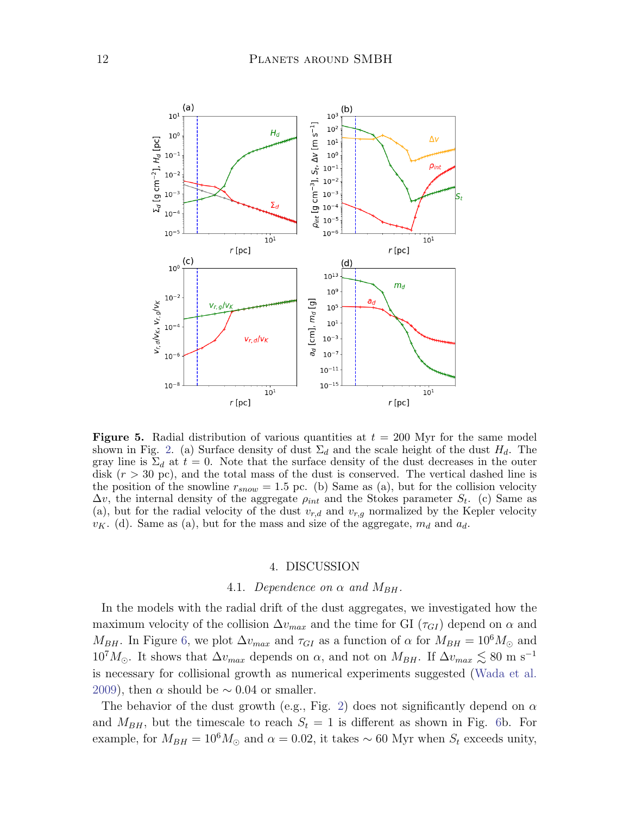

<span id="page-11-0"></span>**Figure 5.** Radial distribution of various quantities at  $t = 200$  Myr for the same model shown in Fig. [2.](#page-8-0) (a) Surface density of dust  $\Sigma_d$  and the scale height of the dust  $H_d$ . The gray line is  $\Sigma_d$  at  $t = 0$ . Note that the surface density of the dust decreases in the outer disk  $(r > 30 \text{ pc})$ , and the total mass of the dust is conserved. The vertical dashed line is the position of the snowline  $r_{snow} = 1.5$  pc. (b) Same as (a), but for the collision velocity  $\Delta v$ , the internal density of the aggregate  $\rho_{int}$  and the Stokes parameter  $S_t$ . (c) Same as (a), but for the radial velocity of the dust  $v_{r,d}$  and  $v_{r,q}$  normalized by the Kepler velocity  $v_K$ . (d). Same as (a), but for the mass and size of the aggregate,  $m_d$  and  $a_d$ .

## 4. DISCUSSION

## 4.1. Dependence on  $\alpha$  and  $M_{BH}$ .

In the models with the radial drift of the dust aggregates, we investigated how the maximum velocity of the collision  $\Delta v_{max}$  and the time for GI ( $\tau_{GI}$ ) depend on  $\alpha$  and  $M_{BH}$ . In Figure [6,](#page-12-0) we plot  $\Delta v_{max}$  and  $\tau_{GI}$  as a function of  $\alpha$  for  $M_{BH} = 10^6 M_{\odot}$  and  $10^{7}M_{\odot}$ . It shows that  $\Delta v_{max}$  depends on  $\alpha$ , and not on  $M_{BH}$ . If  $\Delta v_{max} \lesssim 80$  m s<sup>-1</sup> is necessary for collisional growth as numerical experiments suggested [\(Wada et al.](#page-17-4) [2009\)](#page-17-4), then  $\alpha$  should be  $\sim$  0.04 or smaller.

The behavior of the dust growth (e.g., Fig. [2\)](#page-8-0) does not significantly depend on  $\alpha$ and  $M_{BH}$ , but the timescale to reach  $S_t = 1$  is different as shown in Fig. [6b](#page-12-0). For example, for  $M_{BH} = 10^6 M_{\odot}$  and  $\alpha = 0.02$ , it takes ~ 60 Myr when  $S_t$  exceeds unity,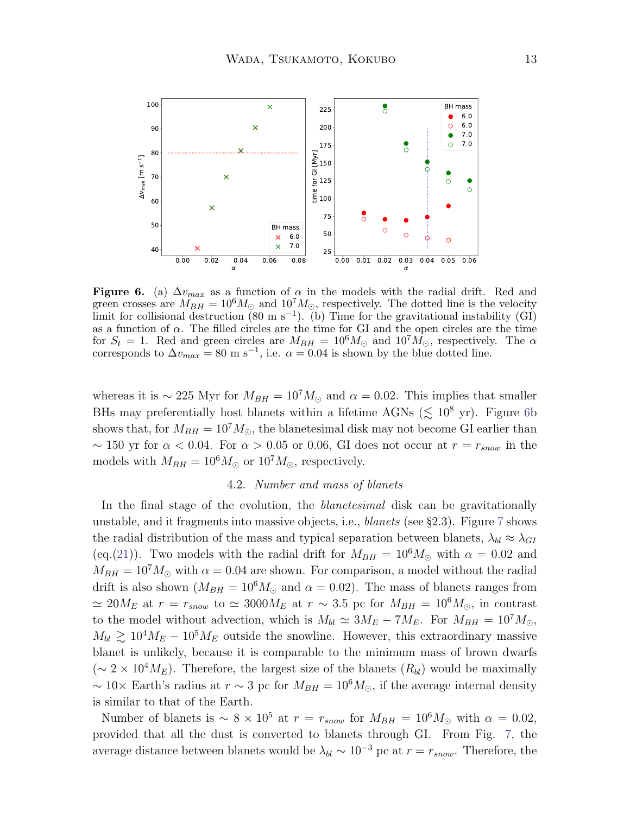

<span id="page-12-0"></span>**Figure 6.** (a)  $\Delta v_{max}$  as a function of  $\alpha$  in the models with the radial drift. Red and green crosses are  $M_{BH} = 10^6 M_{\odot}$  and  $10^7 M_{\odot}$ , respectively. The dotted line is the velocity limit for collisional destruction  $(80 \text{ m s}^{-1})$ . (b) Time for the gravitational instability  $(GI)$ as a function of  $\alpha$ . The filled circles are the time for GI and the open circles are the time for  $S_t = 1$ . Red and green circles are  $M_{BH} = 10^6 M_{\odot}$  and  $10^7 M_{\odot}$ , respectively. The  $\alpha$ corresponds to  $\Delta v_{max} = 80 \text{ m s}^{-1}$ , i.e.  $\alpha = 0.04$  is shown by the blue dotted line.

whereas it is ~ 225 Myr for  $M_{BH} = 10^7 M_{\odot}$  and  $\alpha = 0.02$ . This implies that smaller BHs may preferentially host blanets within a lifetime AGNs ( $\lesssim 10^8$  yr). Figure [6b](#page-12-0) shows that, for  $M_{BH} = 10^7 M_{\odot}$ , the blanetesimal disk may not become GI earlier than ~ 150 yr for  $\alpha$  < 0.04. For  $\alpha$  > 0.05 or 0.06, GI does not occur at  $r = r_{snow}$  in the models with  $M_{BH} = 10^6 M_{\odot}$  or  $10^7 M_{\odot}$ , respectively.

#### 4.2. Number and mass of blanets

In the final stage of the evolution, the *blanetesimal* disk can be gravitationally unstable, and it fragments into massive objects, i.e., *blanets* (see §2.3). Figure [7](#page-13-0) shows the radial distribution of the mass and typical separation between blanets,  $\lambda_{bl} \approx \lambda_{GI}$ (eq.[\(21\)](#page-7-1)). Two models with the radial drift for  $M_{BH} = 10^6 M_{\odot}$  with  $\alpha = 0.02$  and  $M_{BH} = 10^7 M_{\odot}$  with  $\alpha = 0.04$  are shown. For comparison, a model without the radial drift is also shown  $(M_{BH} = 10^6 M_{\odot}$  and  $\alpha = 0.02$ ). The mass of blanets ranges from  $\simeq 20 M_E$  at  $r = r_{snow}$  to  $\simeq 3000 M_E$  at  $r \sim 3.5$  pc for  $M_{BH} = 10^6 M_{\odot}$ , in contrast to the model without advection, which is  $M_{bl} \simeq 3M_E - 7M_E$ . For  $M_{BH} = 10^7 M_{\odot}$ ,  $M_{bl} \gtrsim 10^4 M_E - 10^5 M_E$  outside the snowline. However, this extraordinary massive blanet is unlikely, because it is comparable to the minimum mass of brown dwarfs  $({\sim 2 \times 10^4} M_E)$ . Therefore, the largest size of the blanets  $(R_{bl})$  would be maximally ~ 10× Earth's radius at  $r \sim 3$  pc for  $M_{BH} = 10^6 M_{\odot}$ , if the average internal density is similar to that of the Earth.

Number of blanets is  $\sim 8 \times 10^5$  at  $r = r_{snow}$  for  $M_{BH} = 10^6 M_{\odot}$  with  $\alpha = 0.02$ , provided that all the dust is converted to blanets through GI. From Fig. [7,](#page-13-0) the average distance between blanets would be  $\lambda_{bl} \sim 10^{-3}$  pc at  $r = r_{snow}$ . Therefore, the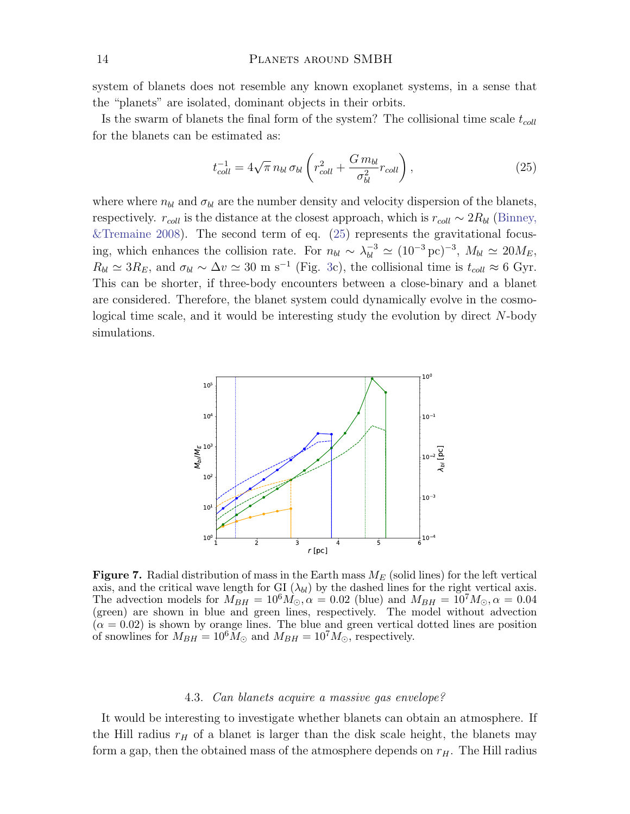system of blanets does not resemble any known exoplanet systems, in a sense that the "planets" are isolated, dominant objects in their orbits.

Is the swarm of blanets the final form of the system? The collisional time scale  $t_{coll}$ for the blanets can be estimated as:

<span id="page-13-1"></span>
$$
t_{coll}^{-1} = 4\sqrt{\pi} n_{bl} \,\sigma_{bl} \left( r_{coll}^2 + \frac{G \, m_{bl}}{\sigma_{bl}^2} r_{coll} \right),\tag{25}
$$

where where  $n_{bl}$  and  $\sigma_{bl}$  are the number density and velocity dispersion of the blanets, respectively.  $r_{coll}$  is the distance at the closest approach, which is  $r_{coll} \sim 2R_{bl}$  [\(Binney,](#page-17-24) [&Tremaine](#page-17-24) [2008\)](#page-17-24). The second term of eq.  $(25)$  represents the gravitational focusing, which enhances the collision rate. For  $n_{bl} \sim \lambda_{bl}^{-3} \simeq (10^{-3} \,\text{pc})^{-3}$ ,  $M_{bl} \simeq 20 M_E$ ,  $R_{bl} \simeq 3R_E$ , and  $\sigma_{bl} \sim \Delta v \simeq 30 \text{ m s}^{-1}$  (Fig. [3c](#page-9-0)), the collisional time is  $t_{coll} \approx 6 \text{ Gyr}$ . This can be shorter, if three-body encounters between a close-binary and a blanet are considered. Therefore, the blanet system could dynamically evolve in the cosmological time scale, and it would be interesting study the evolution by direct N-body simulations.



<span id="page-13-0"></span>Figure 7. Radial distribution of mass in the Earth mass  $M_E$  (solid lines) for the left vertical axis, and the critical wave length for GI  $(\lambda_{bl})$  by the dashed lines for the right vertical axis. The advection models for  $M_{BH} = 10^6 M_{\odot}$ ,  $\alpha = 0.02$  (blue) and  $M_{BH} = 10^7 M_{\odot}$ ,  $\alpha = 0.04$ (green) are shown in blue and green lines, respectively. The model without advection  $(\alpha = 0.02)$  is shown by orange lines. The blue and green vertical dotted lines are position of snowlines for  $M_{BH} = 10^6 M_{\odot}$  and  $M_{BH} = 10^7 M_{\odot}$ , respectively.

#### 4.3. Can blanets acquire a massive gas envelope?

It would be interesting to investigate whether blanets can obtain an atmosphere. If the Hill radius  $r_H$  of a blanet is larger than the disk scale height, the blanets may form a gap, then the obtained mass of the atmosphere depends on  $r_H$ . The Hill radius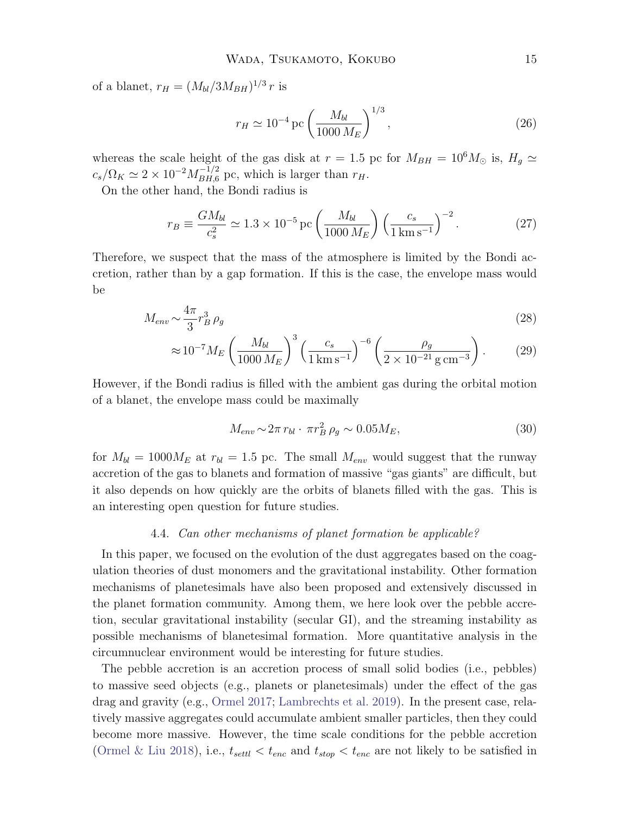of a blanet,  $r_H = (M_{bl}/3M_{BH})^{1/3} r$  is

$$
r_H \simeq 10^{-4} \,\mathrm{pc} \left(\frac{M_{bl}}{1000 \, M_E}\right)^{1/3},\tag{26}
$$

whereas the scale height of the gas disk at  $r = 1.5$  pc for  $M_{BH} = 10^6 M_{\odot}$  is,  $H_g \simeq$  $c_s/\Omega_K \simeq 2 \times 10^{-2} M_{BH,6}^{-1/2}$  pc, which is larger than  $r_H$ .

On the other hand, the Bondi radius is

$$
r_B \equiv \frac{GM_{bl}}{c_s^2} \simeq 1.3 \times 10^{-5} \,\text{pc} \left(\frac{M_{bl}}{1000 \, M_E}\right) \left(\frac{c_s}{1 \,\text{km s}^{-1}}\right)^{-2}.\tag{27}
$$

Therefore, we suspect that the mass of the atmosphere is limited by the Bondi accretion, rather than by a gap formation. If this is the case, the envelope mass would be

$$
M_{env} \sim \frac{4\pi}{3} r_B^3 \rho_g \tag{28}
$$

$$
\approx 10^{-7} M_E \left(\frac{M_{bl}}{1000 \, M_E}\right)^3 \left(\frac{c_s}{1 \, \text{km s}^{-1}}\right)^{-6} \left(\frac{\rho_g}{2 \times 10^{-21} \, \text{g cm}^{-3}}\right). \tag{29}
$$

However, if the Bondi radius is filled with the ambient gas during the orbital motion of a blanet, the envelope mass could be maximally

$$
M_{env} \sim 2\pi r_{bl} \cdot \pi r_B^2 \rho_g \sim 0.05 M_E,
$$
\n
$$
(30)
$$

for  $M_{bl} = 1000 M_E$  at  $r_{bl} = 1.5$  pc. The small  $M_{env}$  would suggest that the runway accretion of the gas to blanets and formation of massive "gas giants" are difficult, but it also depends on how quickly are the orbits of blanets filled with the gas. This is an interesting open question for future studies.

#### 4.4. Can other mechanisms of planet formation be applicable?

In this paper, we focused on the evolution of the dust aggregates based on the coagulation theories of dust monomers and the gravitational instability. Other formation mechanisms of planetesimals have also been proposed and extensively discussed in the planet formation community. Among them, we here look over the pebble accretion, secular gravitational instability (secular GI), and the streaming instability as possible mechanisms of blanetesimal formation. More quantitative analysis in the circumnuclear environment would be interesting for future studies.

The pebble accretion is an accretion process of small solid bodies (i.e., pebbles) to massive seed objects (e.g., planets or planetesimals) under the effect of the gas drag and gravity (e.g., [Ormel](#page-17-25) [2017;](#page-17-25) [Lambrechts et al.](#page-17-26) [2019\)](#page-17-26). In the present case, relatively massive aggregates could accumulate ambient smaller particles, then they could become more massive. However, the time scale conditions for the pebble accretion [\(Ormel & Liu](#page-17-27) [2018\)](#page-17-27), i.e.,  $t_{settl} < t_{enc}$  and  $t_{stop} < t_{enc}$  are not likely to be satisfied in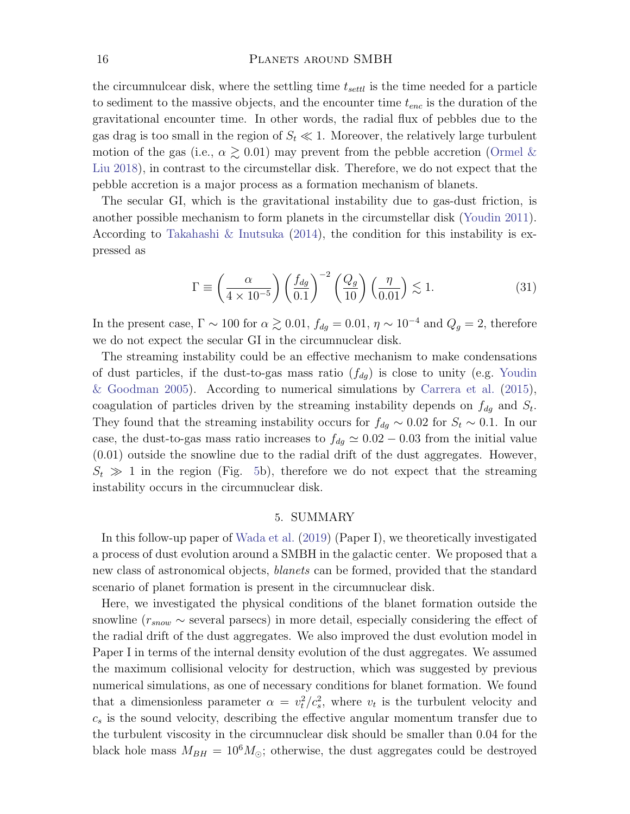the circumnulcear disk, where the settling time  $t_{sett}$  is the time needed for a particle to sediment to the massive objects, and the encounter time  $t_{enc}$  is the duration of the gravitational encounter time. In other words, the radial flux of pebbles due to the gas drag is too small in the region of  $S_t \ll 1$ . Moreover, the relatively large turbulent motion of the gas (i.e.,  $\alpha \gtrsim 0.01$ ) may prevent from the pebble accretion [\(Ormel &](#page-17-27) [Liu](#page-17-27) [2018\)](#page-17-27), in contrast to the circumstellar disk. Therefore, we do not expect that the pebble accretion is a major process as a formation mechanism of blanets.

The secular GI, which is the gravitational instability due to gas-dust friction, is another possible mechanism to form planets in the circumstellar disk [\(Youdin](#page-17-28) [2011\)](#page-17-28). According to [Takahashi & Inutsuka](#page-17-29) [\(2014\)](#page-17-29), the condition for this instability is expressed as

$$
\Gamma \equiv \left(\frac{\alpha}{4 \times 10^{-5}}\right) \left(\frac{f_{dg}}{0.1}\right)^{-2} \left(\frac{Q_g}{10}\right) \left(\frac{\eta}{0.01}\right) \lesssim 1. \tag{31}
$$

In the present case,  $\Gamma \sim 100$  for  $\alpha \gtrsim 0.01$ ,  $f_{dg} = 0.01$ ,  $\eta \sim 10^{-4}$  and  $Q_g = 2$ , therefore we do not expect the secular GI in the circumnuclear disk.

The streaming instability could be an effective mechanism to make condensations of dust particles, if the dust-to-gas mass ratio  $(f_{dg})$  is close to unity (e.g. [Youdin](#page-17-30) [& Goodman](#page-17-30) [2005\)](#page-17-30). According to numerical simulations by [Carrera et al.](#page-17-31) [\(2015\)](#page-17-31), coagulation of particles driven by the streaming instability depends on  $f_{dg}$  and  $S_t$ . They found that the streaming instability occurs for  $f_{dg} \sim 0.02$  for  $S_t \sim 0.1$ . In our case, the dust-to-gas mass ratio increases to  $f_{dg} \simeq 0.02 - 0.03$  from the initial value (0.01) outside the snowline due to the radial drift of the dust aggregates. However,  $S_t \gg 1$  in the region (Fig. [5b](#page-11-0)), therefore we do not expect that the streaming instability occurs in the circumnuclear disk.

## 5. SUMMARY

In this follow-up paper of [Wada et al.](#page-17-32) [\(2019\)](#page-17-32) (Paper I), we theoretically investigated a process of dust evolution around a SMBH in the galactic center. We proposed that a new class of astronomical objects, blanets can be formed, provided that the standard scenario of planet formation is present in the circumnuclear disk.

Here, we investigated the physical conditions of the blanet formation outside the snowline ( $r_{snow} \sim$  several parsecs) in more detail, especially considering the effect of the radial drift of the dust aggregates. We also improved the dust evolution model in Paper I in terms of the internal density evolution of the dust aggregates. We assumed the maximum collisional velocity for destruction, which was suggested by previous numerical simulations, as one of necessary conditions for blanet formation. We found that a dimensionless parameter  $\alpha = v_t^2/c_s^2$ , where  $v_t$  is the turbulent velocity and  $c_s$  is the sound velocity, describing the effective angular momentum transfer due to the turbulent viscosity in the circumnuclear disk should be smaller than 0.04 for the black hole mass  $M_{BH} = 10^6 M_{\odot}$ ; otherwise, the dust aggregates could be destroyed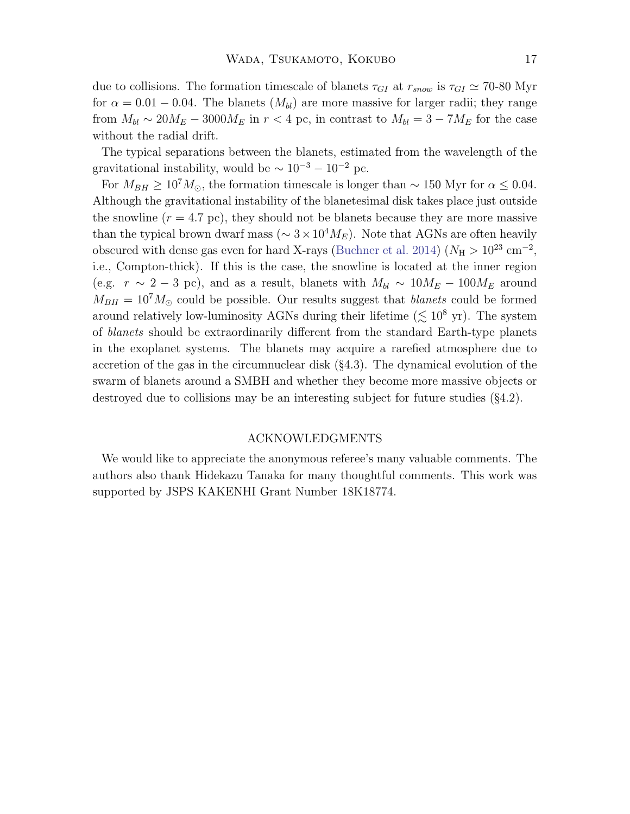due to collisions. The formation timescale of blanets  $\tau_{GI}$  at  $r_{snow}$  is  $\tau_{GI} \simeq 70{\text -}80 \text{ Myr}$ for  $\alpha = 0.01 - 0.04$ . The blanets  $(M_{bl})$  are more massive for larger radii; they range from  $M_{bl} \sim 20 M_E - 3000 M_E$  in  $r < 4$  pc, in contrast to  $M_{bl} = 3 - 7 M_E$  for the case without the radial drift.

The typical separations between the blanets, estimated from the wavelength of the gravitational instability, would be  $\sim 10^{-3} - 10^{-2}$  pc.

For  $M_{BH} \ge 10^7 M_{\odot}$ , the formation timescale is longer than ~ 150 Myr for  $\alpha \le 0.04$ . Although the gravitational instability of the blanetesimal disk takes place just outside the snowline  $(r = 4.7 \text{ pc})$ , they should not be blanets because they are more massive than the typical brown dwarf mass ( $\sim 3 \times 10^4 M_E$ ). Note that AGNs are often heavily obscured with dense gas even for hard X-rays [\(Buchner et al.](#page-17-33) [2014\)](#page-17-33) ( $N_{\rm H} > 10^{23}$  cm<sup>-2</sup>, i.e., Compton-thick). If this is the case, the snowline is located at the inner region (e.g.  $r \sim 2 - 3$  pc), and as a result, blanets with  $M_{bl} \sim 10 M_E - 100 M_E$  around  $M_{BH} = 10^7 M_{\odot}$  could be possible. Our results suggest that *blanets* could be formed around relatively low-luminosity AGNs during their lifetime ( $\lesssim 10^8$  yr). The system of blanets should be extraordinarily different from the standard Earth-type planets in the exoplanet systems. The blanets may acquire a rarefied atmosphere due to accretion of the gas in the circumnuclear disk (§4.3). The dynamical evolution of the swarm of blanets around a SMBH and whether they become more massive objects or destroyed due to collisions may be an interesting subject for future studies (§4.2).

### ACKNOWLEDGMENTS

We would like to appreciate the anonymous referee's many valuable comments. The authors also thank Hidekazu Tanaka for many thoughtful comments. This work was supported by JSPS KAKENHI Grant Number 18K18774.